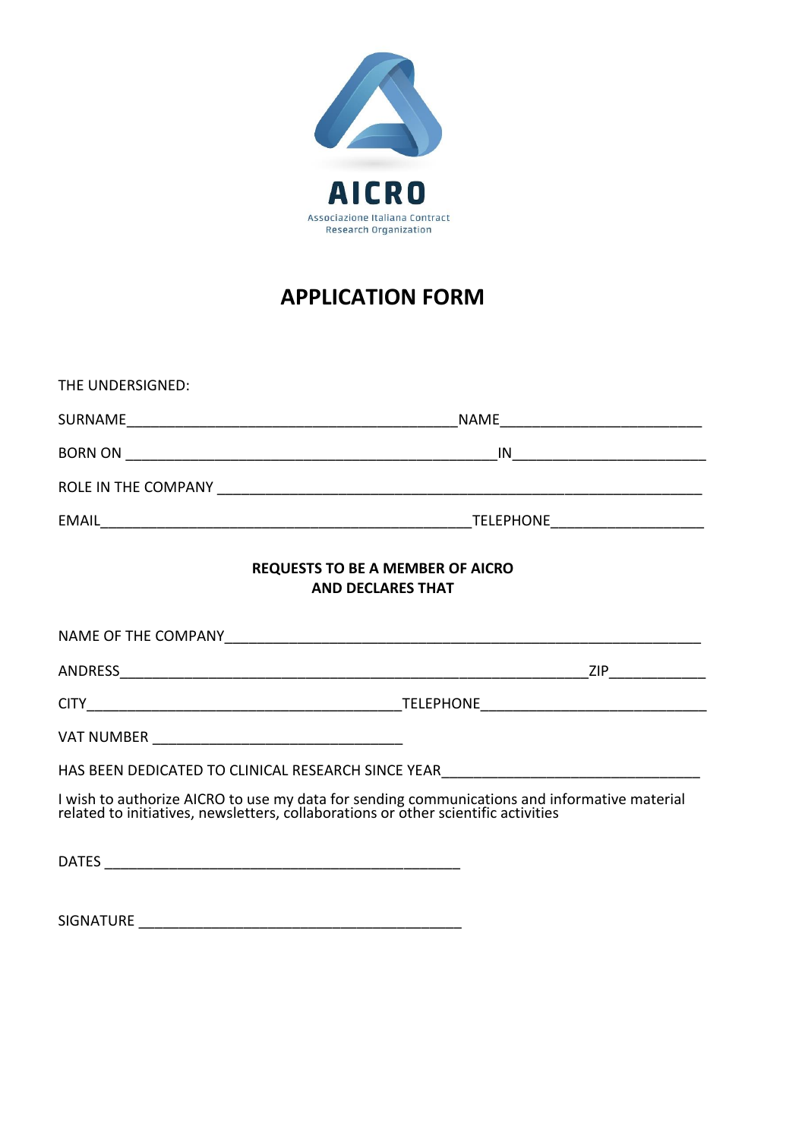

# **APPLICATION FORM**

| THE UNDERSIGNED:                                                                                                                                                                |  |
|---------------------------------------------------------------------------------------------------------------------------------------------------------------------------------|--|
|                                                                                                                                                                                 |  |
|                                                                                                                                                                                 |  |
|                                                                                                                                                                                 |  |
|                                                                                                                                                                                 |  |
| <b>REQUESTS TO BE A MEMBER OF AICRO</b><br><b>AND DECLARES THAT</b>                                                                                                             |  |
|                                                                                                                                                                                 |  |
|                                                                                                                                                                                 |  |
|                                                                                                                                                                                 |  |
|                                                                                                                                                                                 |  |
| HAS BEEN DEDICATED TO CLINICAL RESEARCH SINCE YEAR______________________________                                                                                                |  |
| I wish to authorize AICRO to use my data for sending communications and informative material related to initiatives, newsletters, collaborations or other scientific activities |  |
|                                                                                                                                                                                 |  |
| <b>SIGNATURE</b>                                                                                                                                                                |  |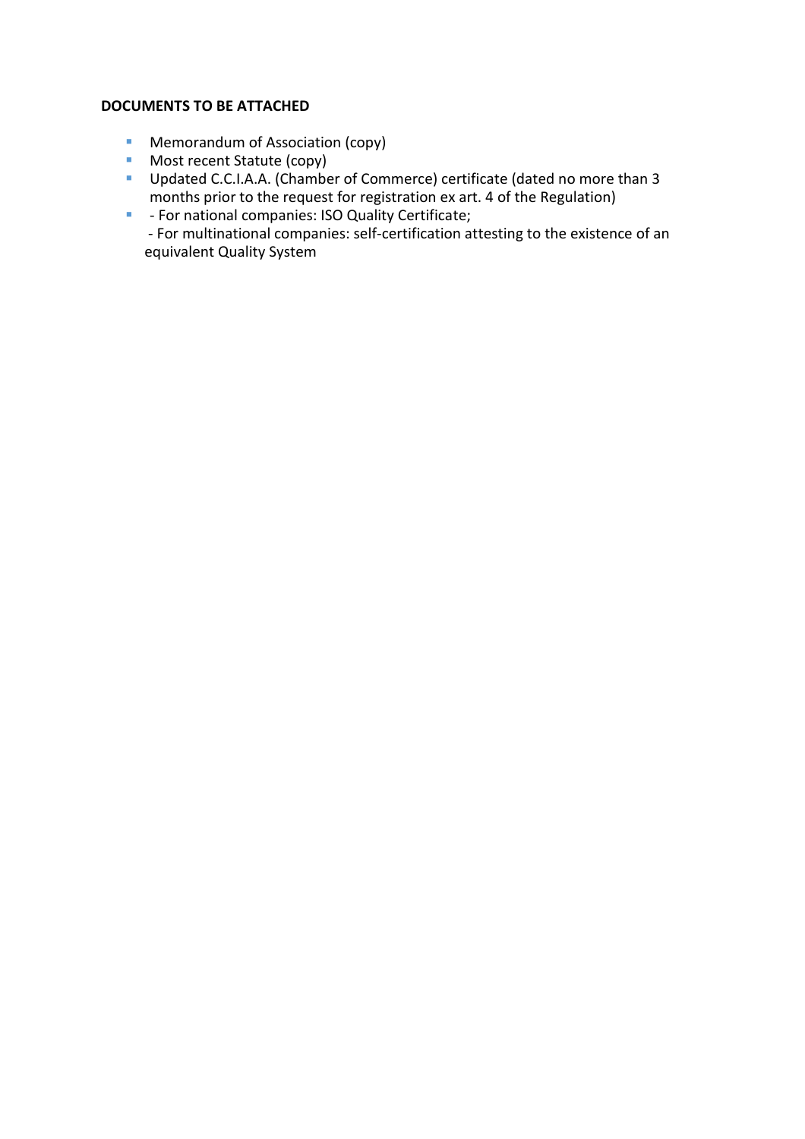# **DOCUMENTS TO BE ATTACHED**

- Memorandum of Association (copy)
- Most recent Statute (copy)
- **·** Updated C.C.I.A.A. (Chamber of Commerce) certificate (dated no more than 3 months prior to the request for registration ex art. 4 of the Regulation)
- **■** For national companies: ISO Quality Certificate; - For multinational companies: self-certification attesting to the existence of an equivalent Quality System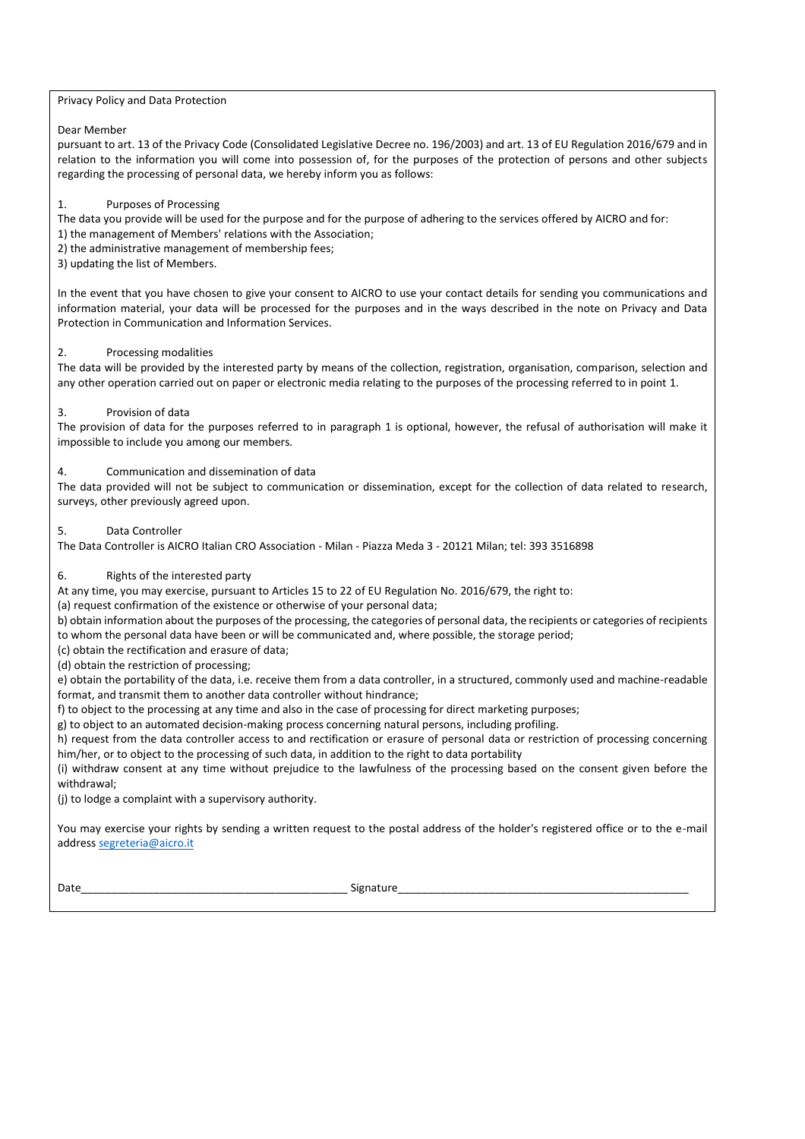#### Privacy Policy and Data Protection

#### Dear Member

pursuant to art. 13 of the Privacy Code (Consolidated Legislative Decree no. 196/2003) and art. 13 of EU Regulation 2016/679 and in relation to the information you will come into possession of, for the purposes of the protection of persons and other subjects regarding the processing of personal data, we hereby inform you as follows:

#### 1. Purposes of Processing

The data you provide will be used for the purpose and for the purpose of adhering to the services offered by AICRO and for:

- 1) the management of Members' relations with the Association;
- 2) the administrative management of membership fees;
- 3) updating the list of Members.

In the event that you have chosen to give your consent to AICRO to use your contact details for sending you communications and information material, your data will be processed for the purposes and in the ways described in the note on Privacy and Data Protection in Communication and Information Services.

#### 2. Processing modalities

The data will be provided by the interested party by means of the collection, registration, organisation, comparison, selection and any other operation carried out on paper or electronic media relating to the purposes of the processing referred to in point 1.

## 3. Provision of data

The provision of data for the purposes referred to in paragraph 1 is optional, however, the refusal of authorisation will make it impossible to include you among our members.

#### 4. Communication and dissemination of data

The data provided will not be subject to communication or dissemination, except for the collection of data related to research, surveys, other previously agreed upon.

#### Data Controller

The Data Controller is AICRO Italian CRO Association - Milan - Piazza Meda 3 - 20121 Milan; tel: 393 3516898

## 6. Rights of the interested party

At any time, you may exercise, pursuant to Articles 15 to 22 of EU Regulation No. 2016/679, the right to:

(a) request confirmation of the existence or otherwise of your personal data;

b) obtain information about the purposes of the processing, the categories of personal data, the recipients or categories of recipients to whom the personal data have been or will be communicated and, where possible, the storage period;

(c) obtain the rectification and erasure of data;

(d) obtain the restriction of processing;

e) obtain the portability of the data, i.e. receive them from a data controller, in a structured, commonly used and machine-readable format, and transmit them to another data controller without hindrance;

f) to object to the processing at any time and also in the case of processing for direct marketing purposes;

g) to object to an automated decision-making process concerning natural persons, including profiling.

h) request from the data controller access to and rectification or erasure of personal data or restriction of processing concerning him/her, or to object to the processing of such data, in addition to the right to data portability

(i) withdraw consent at any time without prejudice to the lawfulness of the processing based on the consent given before the withdrawal;

(j) to lodge a complaint with a supervisory authority.

You may exercise your rights by sending a written request to the postal address of the holder's registered office or to the e-mail address [segreteria@aicro.it](file:///C:/Users/AICRO/Downloads/segreteria@aicro.it)

Date\_\_\_\_\_\_\_\_\_\_\_\_\_\_\_\_\_\_\_\_\_\_\_\_\_\_\_\_\_\_\_\_\_\_\_\_\_\_\_\_\_\_\_\_ Signature\_\_\_\_\_\_\_\_\_\_\_\_\_\_\_\_\_\_\_\_\_\_\_\_\_\_\_\_\_\_\_\_\_\_\_\_\_\_\_\_\_\_\_\_\_\_\_\_